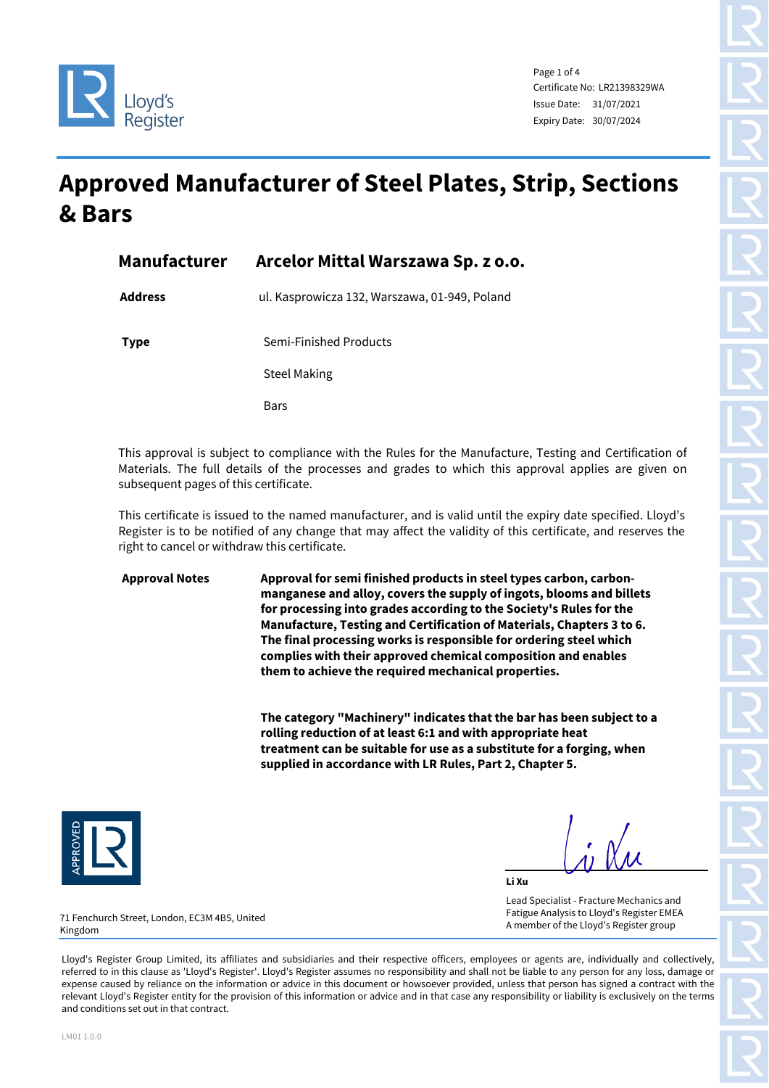



Page 1 of 4 Certificate No: LR21398329WA Issue Date: 31/07/2021 Expiry Date: 30/07/2024

## **Approved Manufacturer of Steel Plates, Strip, Sections & Bars**

| <b>Manufacturer</b> | Arcelor Mittal Warszawa Sp. z o.o.            |
|---------------------|-----------------------------------------------|
| <b>Address</b>      | ul. Kasprowicza 132, Warszawa, 01-949, Poland |
| <b>Type</b>         | Semi-Finished Products                        |
|                     | <b>Steel Making</b>                           |
|                     | <b>Bars</b>                                   |

This approval is subject to compliance with the Rules for the Manufacture, Testing and Certification of Materials. The full details of the processes and grades to which this approval applies are given on subsequent pages of this certificate.

This certificate is issued to the named manufacturer, and is valid until the expiry date specified. Lloyd's Register is to be notified of any change that may affect the validity of this certificate, and reserves the right to cancel or withdraw this certificate.

**Approval Notes Approval for semi finished products in steel types carbon, carbonmanganese and alloy, covers the supply of ingots, blooms and billets for processing into grades according to the Society's Rules for the Manufacture, Testing and Certification of Materials, Chapters 3 to 6. The final processing works is responsible for ordering steel which complies with their approved chemical composition and enables them to achieve the required mechanical properties.** 

> **The category "Machinery" indicates that the bar has been subject to a rolling reduction of at least 6:1 and with appropriate heat treatment can be suitable for use as a substitute for a forging, when supplied in accordance with LR Rules, Part 2, Chapter 5.**



**Li Xu** Lead Specialist - Fracture Mechanics and Fatigue Analysis to Lloyd's Register EMEA A member of the Lloyd's Register group

71 Fenchurch Street, London, EC3M 4BS, United Kingdom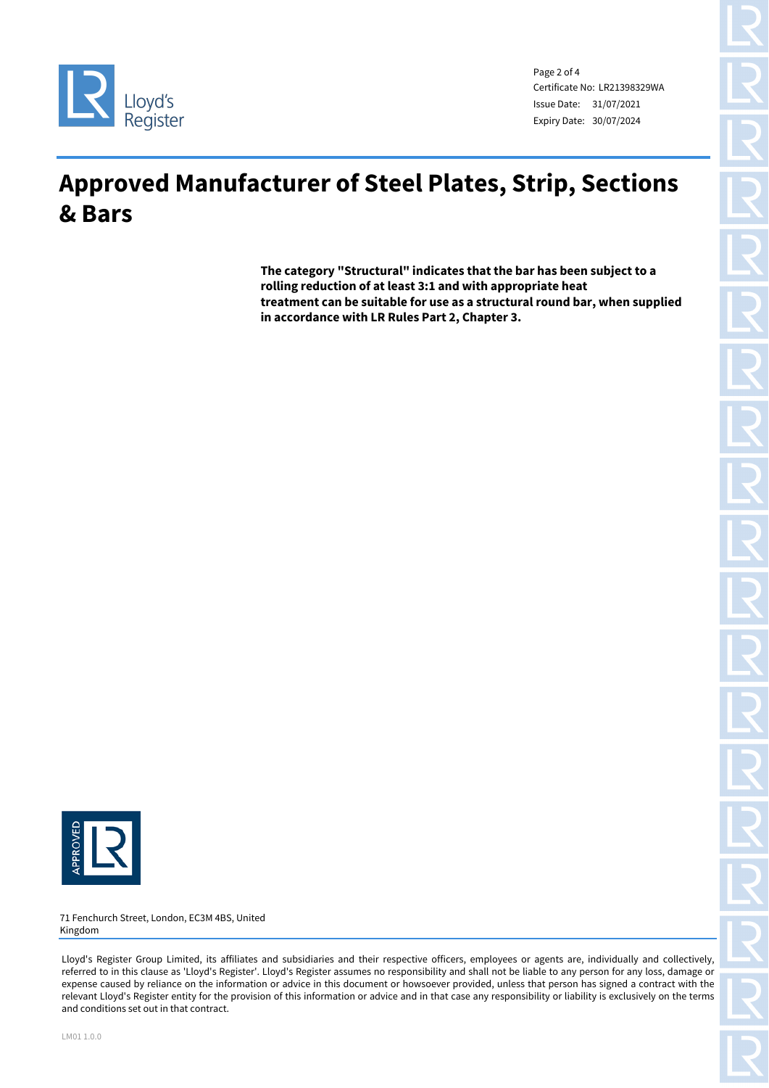

Page 2 of 4 Certificate No: LR21398329WA Issue Date: 31/07/2021 Expiry Date: 30/07/2024

## **Approved Manufacturer of Steel Plates, Strip, Sections & Bars**

**The category "Structural" indicates that the bar has been subject to a rolling reduction of at least 3:1 and with appropriate heat treatment can be suitable for use as a structural round bar, when supplied in accordance with LR Rules Part 2, Chapter 3.**



71 Fenchurch Street, London, EC3M 4BS, United Kingdom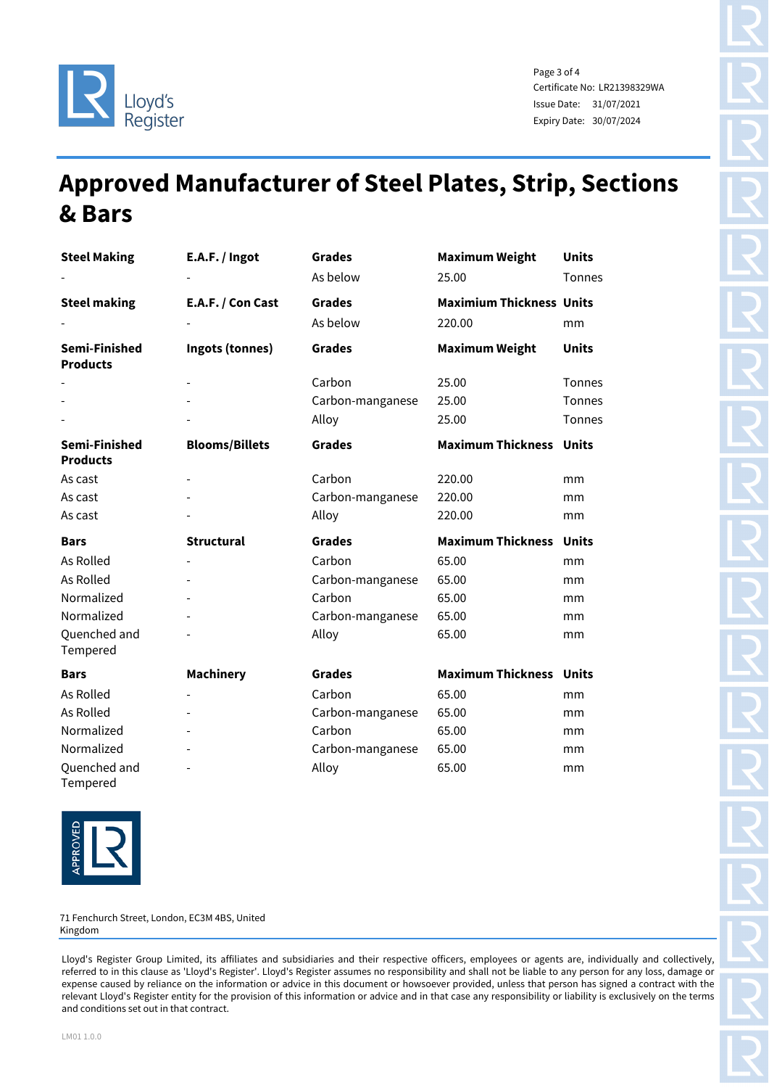

Page 3 of 4 Certificate No: LR21398329WA Issue Date: 31/07/2021 Expiry Date: 30/07/2024

## **Approved Manufacturer of Steel Plates, Strip, Sections & Bars**

| <b>Steel Making</b>              | E.A.F. / Ingot        | <b>Grades</b>    | <b>Maximum Weight</b>           | <b>Units</b>  |
|----------------------------------|-----------------------|------------------|---------------------------------|---------------|
|                                  |                       | As below         | 25.00                           | Tonnes        |
| <b>Steel making</b>              | E.A.F. / Con Cast     | <b>Grades</b>    | <b>Maximium Thickness Units</b> |               |
|                                  |                       | As below         | 220.00                          | mm            |
| Semi-Finished<br><b>Products</b> | Ingots (tonnes)       | <b>Grades</b>    | <b>Maximum Weight</b>           | <b>Units</b>  |
|                                  |                       | Carbon           | 25.00                           | <b>Tonnes</b> |
|                                  |                       | Carbon-manganese | 25.00                           | <b>Tonnes</b> |
|                                  |                       | Alloy            | 25.00                           | <b>Tonnes</b> |
| Semi-Finished<br><b>Products</b> | <b>Blooms/Billets</b> | <b>Grades</b>    | <b>Maximum Thickness</b>        | <b>Units</b>  |
| As cast                          |                       | Carbon           | 220.00                          | mm            |
| As cast                          |                       | Carbon-manganese | 220.00                          | mm            |
| As cast                          |                       | Alloy            | 220.00                          | mm            |
|                                  |                       |                  |                                 |               |
| <b>Bars</b>                      | <b>Structural</b>     | <b>Grades</b>    | <b>Maximum Thickness Units</b>  |               |
| As Rolled                        |                       | Carbon           | 65.00                           | mm            |
| <b>As Rolled</b>                 |                       | Carbon-manganese | 65.00                           | mm            |
| Normalized                       |                       | Carbon           | 65.00                           | mm            |
| Normalized                       |                       | Carbon-manganese | 65.00                           | mm            |
| Quenched and<br>Tempered         |                       | Alloy            | 65.00                           | mm            |
| <b>Bars</b>                      | <b>Machinery</b>      | <b>Grades</b>    | <b>Maximum Thickness Units</b>  |               |
| As Rolled                        |                       | Carbon           | 65.00                           | mm            |
| As Rolled                        |                       | Carbon-manganese | 65.00                           | mm            |
| Normalized                       |                       | Carbon           | 65.00                           | mm            |
| Normalized                       |                       | Carbon-manganese | 65.00                           | mm            |



71 Fenchurch Street, London, EC3M 4BS, United Kingdom